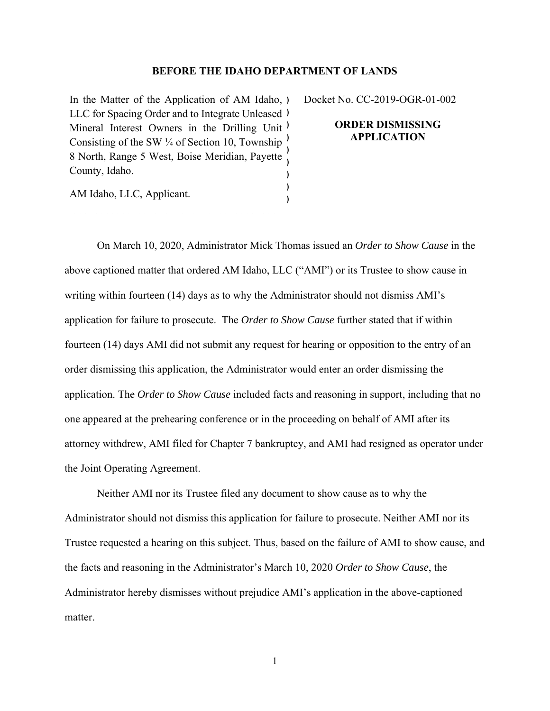## **BEFORE THE IDAHO DEPARTMENT OF LANDS**

) )

In the Matter of the Application of AM Idaho, ) LLC for Spacing Order and to Integrate Unleased ) Mineral Interest Owners in the Drilling Unit<sup>)</sup> Consisting of the SW  $\frac{1}{4}$  of Section 10, Township 8 North, Range 5 West, Boise Meridian, Payette County, Idaho. ) ) ) Docket No. CC-2019-OGR-01-002

## **ORDER DISMISSING APPLICATION**

AM Idaho, LLC, Applicant.

 On March 10, 2020, Administrator Mick Thomas issued an *Order to Show Cause* in the above captioned matter that ordered AM Idaho, LLC ("AMI") or its Trustee to show cause in writing within fourteen (14) days as to why the Administrator should not dismiss AMI's application for failure to prosecute. The *Order to Show Cause* further stated that if within fourteen (14) days AMI did not submit any request for hearing or opposition to the entry of an order dismissing this application, the Administrator would enter an order dismissing the application. The *Order to Show Cause* included facts and reasoning in support, including that no one appeared at the prehearing conference or in the proceeding on behalf of AMI after its attorney withdrew, AMI filed for Chapter 7 bankruptcy, and AMI had resigned as operator under the Joint Operating Agreement.

Neither AMI nor its Trustee filed any document to show cause as to why the Administrator should not dismiss this application for failure to prosecute. Neither AMI nor its Trustee requested a hearing on this subject. Thus, based on the failure of AMI to show cause, and the facts and reasoning in the Administrator's March 10, 2020 *Order to Show Cause*, the Administrator hereby dismisses without prejudice AMI's application in the above-captioned matter.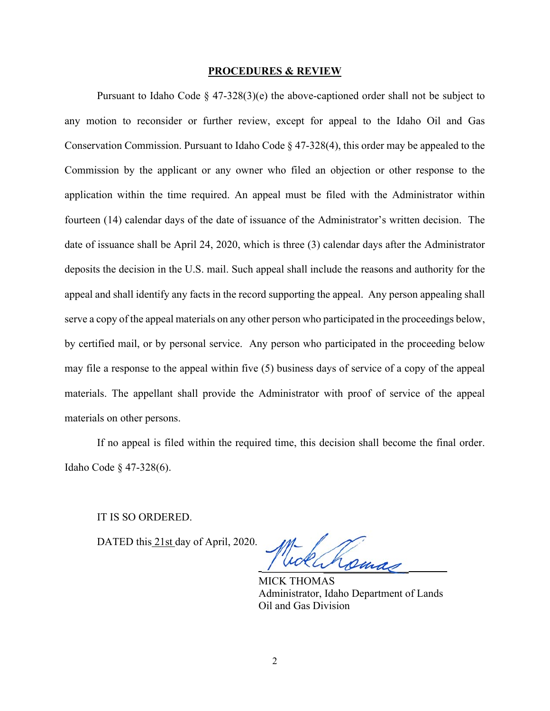## **PROCEDURES & REVIEW**

Pursuant to Idaho Code  $\S 47-328(3)$ (e) the above-captioned order shall not be subject to any motion to reconsider or further review, except for appeal to the Idaho Oil and Gas Conservation Commission. Pursuant to Idaho Code § 47-328(4), this order may be appealed to the Commission by the applicant or any owner who filed an objection or other response to the application within the time required. An appeal must be filed with the Administrator within fourteen (14) calendar days of the date of issuance of the Administrator's written decision. The date of issuance shall be April 24, 2020, which is three (3) calendar days after the Administrator deposits the decision in the U.S. mail. Such appeal shall include the reasons and authority for the appeal and shall identify any facts in the record supporting the appeal. Any person appealing shall serve a copy of the appeal materials on any other person who participated in the proceedings below, by certified mail, or by personal service. Any person who participated in the proceeding below may file a response to the appeal within five (5) business days of service of a copy of the appeal materials. The appellant shall provide the Administrator with proof of service of the appeal materials on other persons.

If no appeal is filed within the required time, this decision shall become the final order. Idaho Code § 47-328(6).

IT IS SO ORDERED.

DATED this 21st day of April, 2020.

 $\sqrt{m}$  and

MICK THOMAS Administrator, Idaho Department of Lands Oil and Gas Division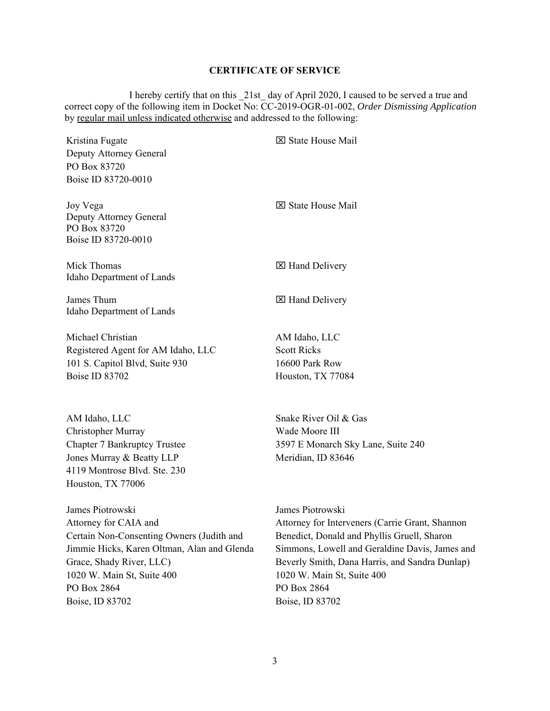## **CERTIFICATE OF SERVICE**

 I hereby certify that on this \_21st\_ day of April 2020, I caused to be served a true and correct copy of the following item in Docket No: CC-2019-OGR-01-002, *Order Dismissing Application*  by regular mail unless indicated otherwise and addressed to the following:

| Kristina Fugate<br>Deputy Attorney General<br>PO Box 83720<br>Boise ID 83720-0010                                                                                                                                                 | ⊠ State House Mail                                                                                                                                                                                                                                                                     |
|-----------------------------------------------------------------------------------------------------------------------------------------------------------------------------------------------------------------------------------|----------------------------------------------------------------------------------------------------------------------------------------------------------------------------------------------------------------------------------------------------------------------------------------|
| Joy Vega<br>Deputy Attorney General<br>PO Box 83720<br>Boise ID 83720-0010                                                                                                                                                        | <b>X</b> State House Mail                                                                                                                                                                                                                                                              |
| Mick Thomas<br>Idaho Department of Lands                                                                                                                                                                                          | ⊠ Hand Delivery                                                                                                                                                                                                                                                                        |
| James Thum<br>Idaho Department of Lands                                                                                                                                                                                           | ⊠ Hand Delivery                                                                                                                                                                                                                                                                        |
| Michael Christian<br>Registered Agent for AM Idaho, LLC<br>101 S. Capitol Blvd, Suite 930<br>Boise ID 83702                                                                                                                       | AM Idaho, LLC<br><b>Scott Ricks</b><br>16600 Park Row<br>Houston, TX 77084                                                                                                                                                                                                             |
| AM Idaho, LLC<br>Christopher Murray<br><b>Chapter 7 Bankruptcy Trustee</b><br>Jones Murray & Beatty LLP<br>4119 Montrose Blvd. Ste. 230<br>Houston, TX 77006                                                                      | Snake River Oil & Gas<br>Wade Moore III<br>3597 E Monarch Sky Lane, Suite 240<br>Meridian, ID 83646                                                                                                                                                                                    |
| James Piotrowski<br>Attorney for CAIA and<br>Certain Non-Consenting Owners (Judith and<br>Jimmie Hicks, Karen Oltman, Alan and Glenda<br>Grace, Shady River, LLC)<br>1020 W. Main St, Suite 400<br>PO Box 2864<br>Boise, ID 83702 | James Piotrowski<br>Attorney for Interveners (Carrie Grant, Shannon<br>Benedict, Donald and Phyllis Gruell, Sharon<br>Simmons, Lowell and Geraldine Davis, James and<br>Beverly Smith, Dana Harris, and Sandra Dunlap)<br>1020 W. Main St, Suite 400<br>PO Box 2864<br>Boise, ID 83702 |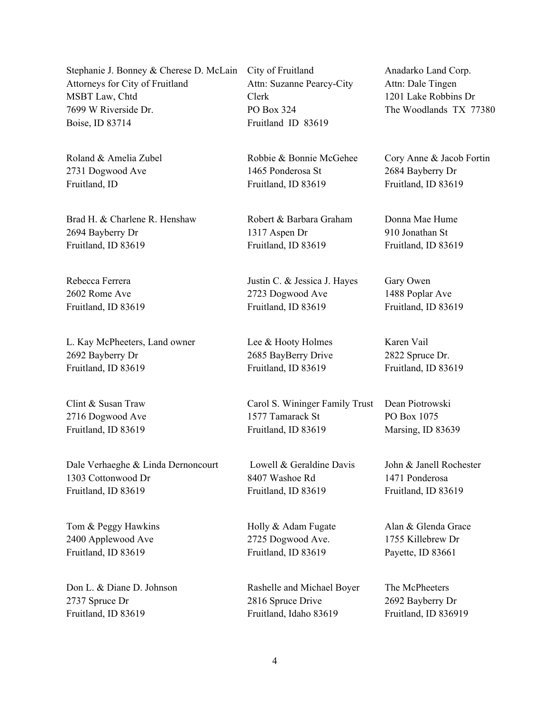Stephanie J. Bonney & Cherese D. McLain Attorneys for City of Fruitland MSBT Law, Chtd 7699 W Riverside Dr. Boise, ID 83714

Roland & Amelia Zubel 2731 Dogwood Ave Fruitland, ID

Brad H. & Charlene R. Henshaw 2694 Bayberry Dr Fruitland, ID 83619

Rebecca Ferrera 2602 Rome Ave Fruitland, ID 83619

L. Kay McPheeters, Land owner 2692 Bayberry Dr Fruitland, ID 83619

Clint & Susan Traw 2716 Dogwood Ave Fruitland, ID 83619

Dale Verhaeghe & Linda Dernoncourt 1303 Cottonwood Dr Fruitland, ID 83619

Tom & Peggy Hawkins 2400 Applewood Ave Fruitland, ID 83619

Don L. & Diane D. Johnson 2737 Spruce Dr Fruitland, ID 83619

City of Fruitland Attn: Suzanne Pearcy-City Clerk PO Box 324 Fruitland ID 83619

Robbie & Bonnie McGehee 1465 Ponderosa St Fruitland, ID 83619

Robert & Barbara Graham 1317 Aspen Dr Fruitland, ID 83619

Justin C. & Jessica J. Hayes 2723 Dogwood Ave Fruitland, ID 83619

Lee & Hooty Holmes 2685 BayBerry Drive Fruitland, ID 83619

Carol S. Wininger Family Trust 1577 Tamarack St Fruitland, ID 83619

 Lowell & Geraldine Davis 8407 Washoe Rd Fruitland, ID 83619

Holly & Adam Fugate 2725 Dogwood Ave. Fruitland, ID 83619

Rashelle and Michael Boyer 2816 Spruce Drive Fruitland, Idaho 83619

Anadarko Land Corp. Attn: Dale Tingen 1201 Lake Robbins Dr The Woodlands TX 77380

Cory Anne & Jacob Fortin 2684 Bayberry Dr Fruitland, ID 83619

Donna Mae Hume 910 Jonathan St Fruitland, ID 83619

Gary Owen 1488 Poplar Ave Fruitland, ID 83619

Karen Vail 2822 Spruce Dr. Fruitland, ID 83619

Dean Piotrowski PO Box 1075 Marsing, ID 83639

John & Janell Rochester 1471 Ponderosa Fruitland, ID 83619

Alan & Glenda Grace 1755 Killebrew Dr Payette, ID 83661

The McPheeters 2692 Bayberry Dr Fruitland, ID 836919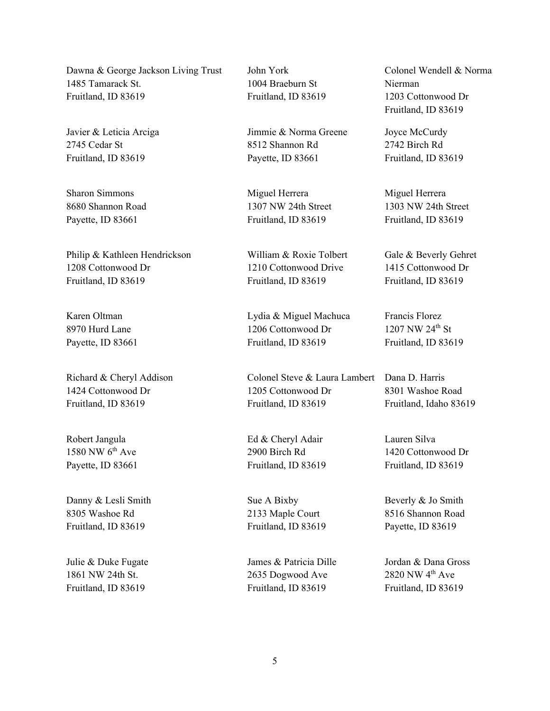Dawna & George Jackson Living Trust 1485 Tamarack St. Fruitland, ID 83619

Javier & Leticia Arciga 2745 Cedar St Fruitland, ID 83619

Sharon Simmons 8680 Shannon Road Payette, ID 83661

Philip & Kathleen Hendrickson 1208 Cottonwood Dr Fruitland, ID 83619

Karen Oltman 8970 Hurd Lane Payette, ID 83661

Richard & Cheryl Addison 1424 Cottonwood Dr Fruitland, ID 83619

Robert Jangula  $1580$  NW  $6<sup>th</sup>$  Ave Payette, ID 83661

Danny & Lesli Smith 8305 Washoe Rd Fruitland, ID 83619

Julie & Duke Fugate 1861 NW 24th St. Fruitland, ID 83619

John York 1004 Braeburn St Fruitland, ID 83619

Jimmie & Norma Greene 8512 Shannon Rd Payette, ID 83661

Miguel Herrera 1307 NW 24th Street Fruitland, ID 83619

William & Roxie Tolbert 1210 Cottonwood Drive Fruitland, ID 83619

Lydia & Miguel Machuca 1206 Cottonwood Dr Fruitland, ID 83619

Colonel Steve & Laura Lambert Dana D. Harris 1205 Cottonwood Dr Fruitland, ID 83619

Ed & Cheryl Adair 2900 Birch Rd Fruitland, ID 83619

Sue A Bixby 2133 Maple Court Fruitland, ID 83619

James & Patricia Dille 2635 Dogwood Ave Fruitland, ID 83619

Colonel Wendell & Norma Nierman 1203 Cottonwood Dr Fruitland, ID 83619

Joyce McCurdy 2742 Birch Rd Fruitland, ID 83619

Miguel Herrera 1303 NW 24th Street Fruitland, ID 83619

Gale & Beverly Gehret 1415 Cottonwood Dr Fruitland, ID 83619

Francis Florez 1207 NW 24<sup>th</sup> St Fruitland, ID 83619

8301 Washoe Road Fruitland, Idaho 83619

Lauren Silva 1420 Cottonwood Dr Fruitland, ID 83619

Beverly & Jo Smith 8516 Shannon Road Payette, ID 83619

Jordan & Dana Gross 2820 NW 4<sup>th</sup> Ave Fruitland, ID 83619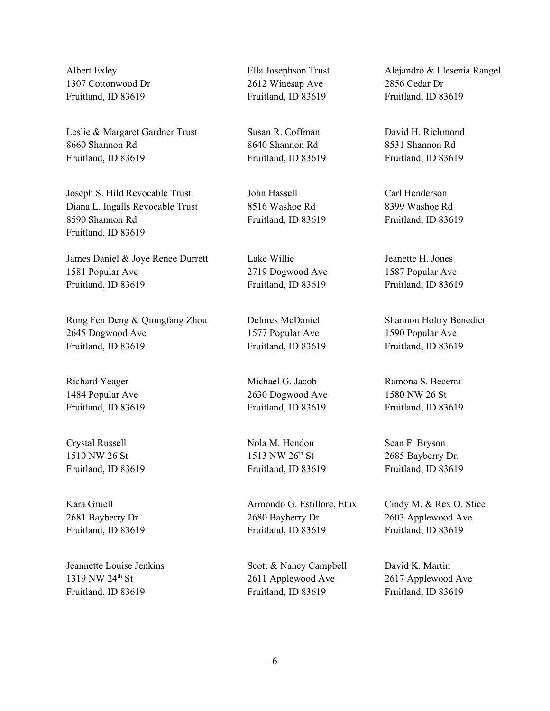Albert Exley 1307 Cottonwood Dr Fruitland, ID 83619

Leslie & Margaret Gardner Trust 8660 Shannon Rd Fruitland, ID 83619

Joseph S. Hild Revocable Trust Diana L. Ingalls Revocable Trust 8590 Shannon Rd Fruitland, ID 83619

James Daniel & Joye Renee Durrett 1581 Popular Ave Fruitland, ID 83619

Rong Fen Deng & Qiongfang Zhou 2645 Dogwood Ave Fruitland, ID 83619

Richard Yeager 1484 Popular Ave Fruitland, ID 83619

Crystal Russell 1510 NW 26 St Fruitland, ID 83619

Kara Gruell 2681 Bayberry Dr Fruitland, ID 83619

Jeannette Louise Jenkins 1319 NW 24<sup>th</sup> St Fruitland, ID 83619

Ella Josephson Trust 2612 Winesap Ave Fruitland, ID 83619

Susan R. Coffman 8640 Shannon Rd Fruitland, ID 83619

John Hassell 8516 Washoe Rd Fruitland, ID 83619

Lake Willie 2719 Dogwood Ave Fruitland, ID 83619

Delores McDaniel 1577 Popular Ave Fruitland, ID 83619

Michael G. Jacob 2630 Dogwood Ave Fruitland, ID 83619

Nola M. Hendon 1513 NW 26<sup>th</sup> St Fruitland, ID 83619

Armondo G. Estillore, Etux 2680 Bayberry Dr Fruitland, ID 83619

Scott & Nancy Campbell 2611 Applewood Ave Fruitland, ID 83619

Alejandro & Llesenia Rangel 2856 Cedar Dr Fruitland, ID 83619

David H. Richmond 8531 Shannon Rd Fruitland, ID 83619

Carl Henderson 8399 Washoe Rd Fruitland, ID 83619

Jeanette H. Jones 1587 Popular Ave Fruitland, ID 83619

Shannon Holtry Benedict 1590 Popular Ave Fruitland, ID 83619

Ramona S. Becerra 1580 NW 26 St Fruitland, ID 83619

Sean F. Bryson 2685 Bayberry Dr. Fruitland, ID 83619

Cindy M. & Rex O. Stice 2603 Applewood Ave Fruitland, ID 83619

David K. Martin 2617 Applewood Ave Fruitland, ID 83619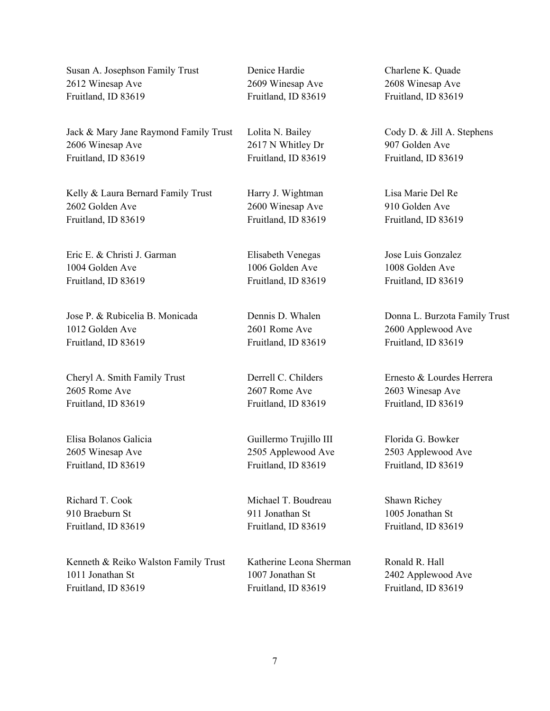Susan A. Josephson Family Trust 2612 Winesap Ave Fruitland, ID 83619

Jack & Mary Jane Raymond Family Trust 2606 Winesap Ave Fruitland, ID 83619

Kelly & Laura Bernard Family Trust 2602 Golden Ave Fruitland, ID 83619

Eric E. & Christi J. Garman 1004 Golden Ave Fruitland, ID 83619

Jose P. & Rubicelia B. Monicada 1012 Golden Ave Fruitland, ID 83619

Cheryl A. Smith Family Trust 2605 Rome Ave Fruitland, ID 83619

Elisa Bolanos Galicia 2605 Winesap Ave Fruitland, ID 83619

Richard T. Cook 910 Braeburn St Fruitland, ID 83619

Kenneth & Reiko Walston Family Trust 1011 Jonathan St Fruitland, ID 83619

Denice Hardie 2609 Winesap Ave Fruitland, ID 83619

Lolita N. Bailey 2617 N Whitley Dr Fruitland, ID 83619

Harry J. Wightman 2600 Winesap Ave Fruitland, ID 83619

Elisabeth Venegas 1006 Golden Ave Fruitland, ID 83619

Dennis D. Whalen 2601 Rome Ave Fruitland, ID 83619

Derrell C. Childers 2607 Rome Ave Fruitland, ID 83619

Guillermo Trujillo III 2505 Applewood Ave Fruitland, ID 83619

Michael T. Boudreau 911 Jonathan St Fruitland, ID 83619

Katherine Leona Sherman 1007 Jonathan St Fruitland, ID 83619

Charlene K. Quade 2608 Winesap Ave Fruitland, ID 83619

Cody D. & Jill A. Stephens 907 Golden Ave Fruitland, ID 83619

Lisa Marie Del Re 910 Golden Ave Fruitland, ID 83619

Jose Luis Gonzalez 1008 Golden Ave Fruitland, ID 83619

Donna L. Burzota Family Trust 2600 Applewood Ave Fruitland, ID 83619

Ernesto & Lourdes Herrera 2603 Winesap Ave Fruitland, ID 83619

Florida G. Bowker 2503 Applewood Ave Fruitland, ID 83619

Shawn Richey 1005 Jonathan St Fruitland, ID 83619

Ronald R. Hall 2402 Applewood Ave Fruitland, ID 83619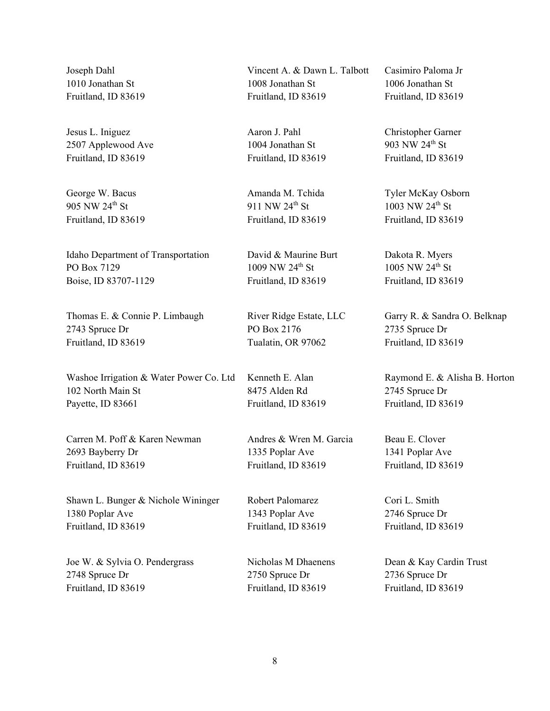Joseph Dahl 1010 Jonathan St Fruitland, ID 83619

Jesus L. Iniguez 2507 Applewood Ave Fruitland, ID 83619

George W. Bacus 905 NW 24th St Fruitland, ID 83619

Idaho Department of Transportation PO Box 7129 Boise, ID 83707-1129

Thomas E. & Connie P. Limbaugh 2743 Spruce Dr Fruitland, ID 83619

Washoe Irrigation & Water Power Co. Ltd 102 North Main St Payette, ID 83661

Carren M. Poff & Karen Newman 2693 Bayberry Dr Fruitland, ID 83619

Shawn L. Bunger & Nichole Wininger 1380 Poplar Ave Fruitland, ID 83619

Joe W. & Sylvia O. Pendergrass 2748 Spruce Dr Fruitland, ID 83619

Vincent A. & Dawn L. Talbott 1008 Jonathan St Fruitland, ID 83619

Aaron J. Pahl 1004 Jonathan St Fruitland, ID 83619

Amanda M. Tchida 911 NW 24<sup>th</sup> St Fruitland, ID 83619

David & Maurine Burt 1009 NW 24<sup>th</sup> St Fruitland, ID 83619

River Ridge Estate, LLC PO Box 2176 Tualatin, OR 97062

Kenneth E. Alan 8475 Alden Rd Fruitland, ID 83619

Andres & Wren M. Garcia 1335 Poplar Ave Fruitland, ID 83619

Robert Palomarez 1343 Poplar Ave Fruitland, ID 83619

Nicholas M Dhaenens 2750 Spruce Dr Fruitland, ID 83619

Casimiro Paloma Jr 1006 Jonathan St Fruitland, ID 83619

Christopher Garner 903 NW 24<sup>th</sup> St Fruitland, ID 83619

Tyler McKay Osborn 1003 NW 24th St Fruitland, ID 83619

Dakota R. Myers 1005 NW 24<sup>th</sup> St Fruitland, ID 83619

Garry R. & Sandra O. Belknap 2735 Spruce Dr Fruitland, ID 83619

Raymond E. & Alisha B. Horton 2745 Spruce Dr Fruitland, ID 83619

Beau E. Clover 1341 Poplar Ave Fruitland, ID 83619

Cori L. Smith 2746 Spruce Dr Fruitland, ID 83619

Dean & Kay Cardin Trust 2736 Spruce Dr Fruitland, ID 83619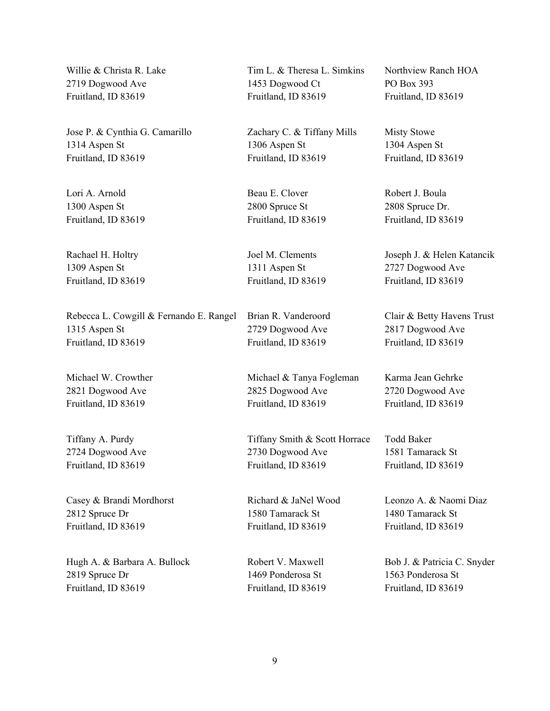Willie & Christa R. Lake 2719 Dogwood Ave Fruitland, ID 83619

Jose P. & Cynthia G. Camarillo 1314 Aspen St Fruitland, ID 83619

Lori A. Arnold 1300 Aspen St Fruitland, ID 83619

Rachael H. Holtry 1309 Aspen St Fruitland, ID 83619

Rebecca L. Cowgill & Fernando E. Rangel 1315 Aspen St Fruitland, ID 83619

Michael W. Crowther 2821 Dogwood Ave Fruitland, ID 83619

Tiffany A. Purdy 2724 Dogwood Ave Fruitland, ID 83619

Casey & Brandi Mordhorst 2812 Spruce Dr Fruitland, ID 83619

Hugh A. & Barbara A. Bullock 2819 Spruce Dr Fruitland, ID 83619

Tim L. & Theresa L. Simkins 1453 Dogwood Ct Fruitland, ID 83619

Zachary C. & Tiffany Mills 1306 Aspen St Fruitland, ID 83619

Beau E. Clover 2800 Spruce St Fruitland, ID 83619

Joel M. Clements 1311 Aspen St Fruitland, ID 83619

Brian R. Vanderoord 2729 Dogwood Ave Fruitland, ID 83619

Michael & Tanya Fogleman 2825 Dogwood Ave Fruitland, ID 83619

Tiffany Smith & Scott Horrace 2730 Dogwood Ave Fruitland, ID 83619

Richard & JaNel Wood 1580 Tamarack St Fruitland, ID 83619

Robert V. Maxwell 1469 Ponderosa St Fruitland, ID 83619 Northview Ranch HOA PO Box 393 Fruitland, ID 83619

Misty Stowe 1304 Aspen St Fruitland, ID 83619

Robert J. Boula 2808 Spruce Dr. Fruitland, ID 83619

Joseph J. & Helen Katancik 2727 Dogwood Ave Fruitland, ID 83619

Clair & Betty Havens Trust 2817 Dogwood Ave Fruitland, ID 83619

Karma Jean Gehrke 2720 Dogwood Ave Fruitland, ID 83619

Todd Baker 1581 Tamarack St Fruitland, ID 83619

Leonzo A. & Naomi Diaz 1480 Tamarack St Fruitland, ID 83619

Bob J. & Patricia C. Snyder 1563 Ponderosa St Fruitland, ID 83619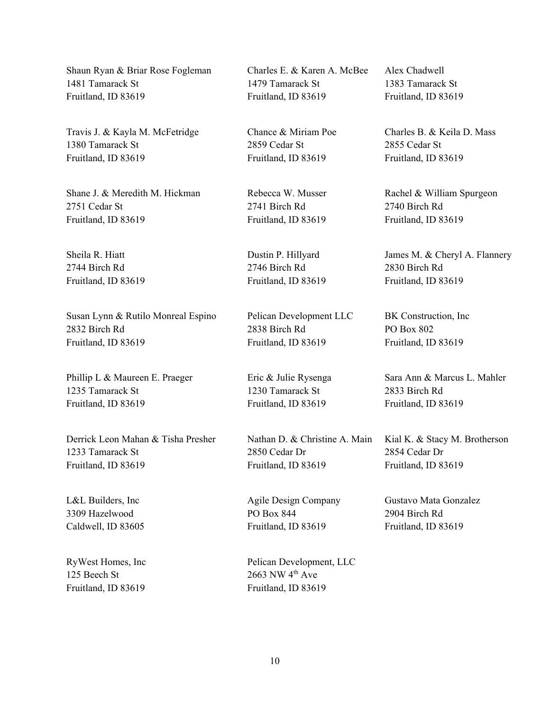Shaun Ryan & Briar Rose Fogleman 1481 Tamarack St Fruitland, ID 83619

Travis J. & Kayla M. McFetridge 1380 Tamarack St Fruitland, ID 83619

Shane J. & Meredith M. Hickman 2751 Cedar St Fruitland, ID 83619

Sheila R. Hiatt 2744 Birch Rd Fruitland, ID 83619

Susan Lynn & Rutilo Monreal Espino 2832 Birch Rd Fruitland, ID 83619

Phillip L & Maureen E. Praeger 1235 Tamarack St Fruitland, ID 83619

Derrick Leon Mahan & Tisha Presher 1233 Tamarack St Fruitland, ID 83619

L&L Builders, Inc 3309 Hazelwood Caldwell, ID 83605

RyWest Homes, Inc 125 Beech St Fruitland, ID 83619

Charles E. & Karen A. McBee 1479 Tamarack St Fruitland, ID 83619

Chance & Miriam Poe 2859 Cedar St Fruitland, ID 83619

Rebecca W. Musser 2741 Birch Rd Fruitland, ID 83619

Dustin P. Hillyard 2746 Birch Rd Fruitland, ID 83619

Pelican Development LLC 2838 Birch Rd Fruitland, ID 83619

Eric & Julie Rysenga 1230 Tamarack St Fruitland, ID 83619

Nathan D. & Christine A. Main 2850 Cedar Dr Fruitland, ID 83619

Agile Design Company PO Box 844 Fruitland, ID 83619

Pelican Development, LLC 2663 NW 4<sup>th</sup> Ave Fruitland, ID 83619

Alex Chadwell 1383 Tamarack St Fruitland, ID 83619

Charles B. & Keila D. Mass 2855 Cedar St Fruitland, ID 83619

Rachel & William Spurgeon 2740 Birch Rd Fruitland, ID 83619

James M. & Cheryl A. Flannery 2830 Birch Rd Fruitland, ID 83619

BK Construction, Inc PO Box 802 Fruitland, ID 83619

Sara Ann & Marcus L. Mahler 2833 Birch Rd Fruitland, ID 83619

Kial K. & Stacy M. Brotherson 2854 Cedar Dr Fruitland, ID 83619

Gustavo Mata Gonzalez 2904 Birch Rd Fruitland, ID 83619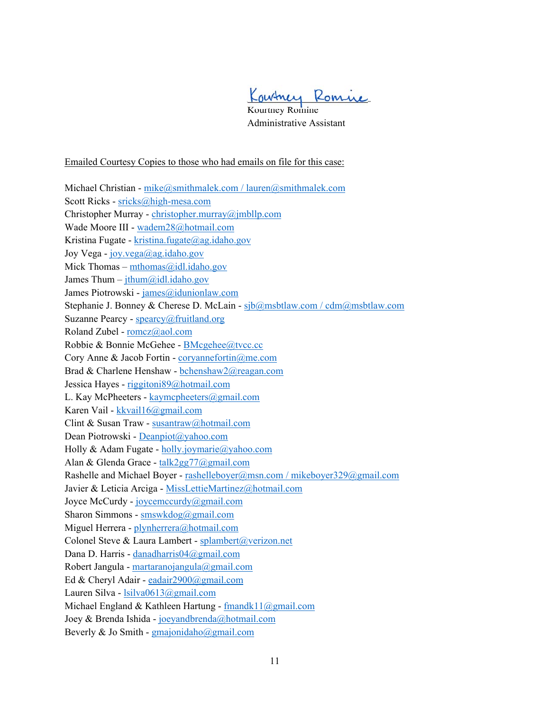Kowtney Romine

Kourtney Romine Administrative Assistant

Emailed Courtesy Copies to those who had emails on file for this case:

Michael Christian - mike@smithmalek.com / lauren@smithmalek.com Scott Ricks - sricks@high-mesa.com Christopher Murray - christopher.murray@jmbllp.com Wade Moore III - wadem28@hotmail.com Kristina Fugate - kristina.fugate@ag.idaho.gov Joy Vega - joy.vega@ag.idaho.gov Mick Thomas – mthomas@idl.idaho.gov James Thum –  $\text{ithum}(a)$ idl.idaho.gov James Piotrowski - james@idunionlaw.com Stephanie J. Bonney & Cherese D. McLain - sjb@msbtlaw.com / cdm@msbtlaw.com Suzanne Pearcy - spearcy@fruitland.org Roland Zubel - romcz@aol.com Robbie & Bonnie McGehee - BMcgehee@tvcc.cc Cory Anne & Jacob Fortin - coryannefortin@me.com Brad & Charlene Henshaw - bchenshaw2@reagan.com Jessica Hayes - riggitoni89@hotmail.com L. Kay McPheeters - kaymcpheeters@gmail.com Karen Vail - kkvail16@gmail.com Clint & Susan Traw - susantraw@hotmail.com Dean Piotrowski - Deanpiot@yahoo.com Holly & Adam Fugate - holly.joymarie@yahoo.com Alan & Glenda Grace - talk2gg77@gmail.com Rashelle and Michael Boyer - rashelleboyer@msn.com / mikeboyer329@gmail.com Javier & Leticia Arciga - MissLettieMartinez@hotmail.com Joyce McCurdy - joycemccurdy@gmail.com Sharon Simmons - smswkdog@gmail.com Miguel Herrera - plynherrera@hotmail.com Colonel Steve & Laura Lambert - splambert@verizon.net Dana D. Harris - danadharris04@gmail.com Robert Jangula - martaranojangula@gmail.com Ed & Cheryl Adair - eadair2900@gmail.com Lauren Silva - lsilva0613@gmail.com Michael England & Kathleen Hartung - fmandk11@gmail.com Joey & Brenda Ishida - joeyandbrenda@hotmail.com Beverly & Jo Smith - gmajonidaho@gmail.com